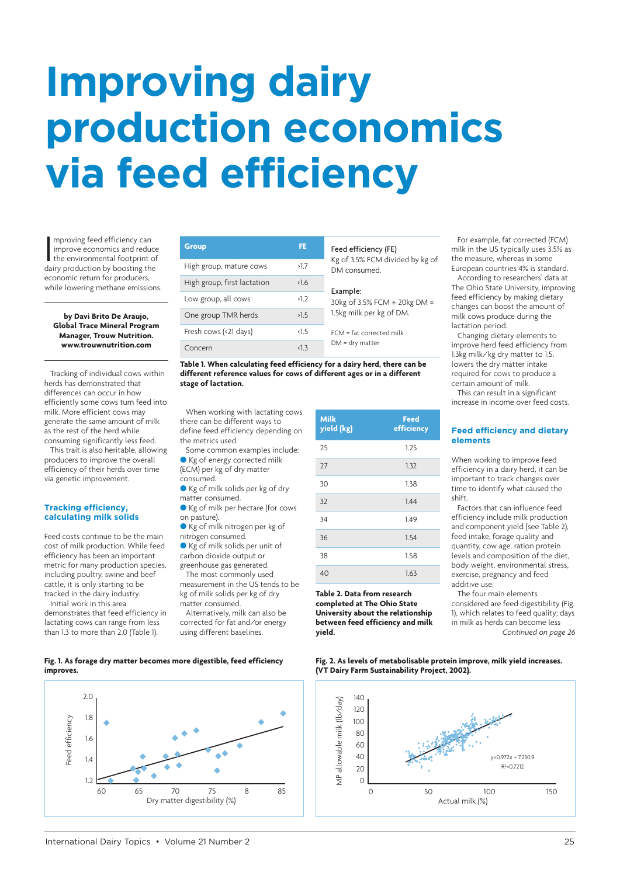# **Improving dairy production economics via feed efficiency**

mproving feed efficiency can<br>improve economics and reduce<br>the environmental footprint of<br>dairy production by boosting the mproving feed efficiency can improve economics and reduce the environmental footprint of economic return for producers, while lowering methane emissions.

**by Davi Brito De Araujo, Global Trace Mineral Program Manager, Trouw Nutrition. www.trouwnutrition.com**

Tracking of individual cows within herds has demonstrated that diffe[rences can occur in how](https://www.trouwnutrition.com) efficiently some cows turn feed into milk. More efficient cows may generate the same amount of milk as the rest of the herd while consuming significantly less feed.

This trait is also heritable, allowing producers to improve the overall efficiency of their herds over time via genetic improvement.

#### **Tracking efficiency, calculating milk solids**

Feed costs continue to be the main cost of milk production. While feed efficiency has been an important metric for many production species, including poultry, swine and beef cattle, it is only starting to be tracked in the dairy industry. Initial work in this area

demonstrates that feed efficiency in lactating cows can range from less than 1.3 to more than 2.0 (Table 1).

| <b>Group</b>                | FE.           | Feed efficiency (FE)<br>Kg of 3.5% FCM divided by kg of<br>DM consumed. |
|-----------------------------|---------------|-------------------------------------------------------------------------|
| High group, mature cows     | >1.7          |                                                                         |
| High group, first lactation | >1.6          | Example:<br>30kg of 3.5% FCM ÷ 20kg DM =<br>1.5kg milk per kg of DM.    |
| Low group, all cows         | >1.2          |                                                                         |
| One group TMR herds         | >1.5          |                                                                         |
| Fresh cows (<21 days)       | $\langle$ 1.5 | $FCM = fat$ corrected milk<br>$DM = dry matter$                         |
| Concern                     | 1.3           |                                                                         |

**Table 1. When calculating feed efficiency for a dairy herd, there can be different reference values for cows of different ages or in a different stage of lactation.** 

When working with lactating cows there can be different ways to define feed efficiency depending on the metrics used.

Some common examples include: Kg of energy corrected milk (ECM) per kg of dry matter

consumed. ● Kg of milk solids per kg of dry

- matter consumed. ● Kg of milk per hectare (for cows
- on pasture). l Kg of milk nitrogen per kg of

nitrogen consumed.

Kg of milk solids per unit of carbon dioxide output or greenhouse gas generated.

The most commonly used measurement in the US tends to be

kg of milk solids per kg of dry matter consumed. Alternatively, milk can also be

corrected for fat and/or energy using different baselines.

| <b>Milk</b><br>yield (kg) | Feed<br>efficiency |
|---------------------------|--------------------|
| 25                        | 1.25               |
| 27                        | 1.32               |
| 30                        | 1.38               |
| 32                        | 1.44               |
| 34                        | 1.49               |
| 36                        | 1.54               |
| 38                        | 1.58               |
| 40                        | 1.63               |

**Table 2. Data from research completed at The Ohio State University about the relationship between feed efficiency and milk yield.**

For example, fat corrected (FCM) milk in the US typically uses 3.5% as the measure, whereas in some European countries 4% is standard.

According to researchers' data at The Ohio State University, improving feed efficiency by making dietary changes can boost the amount of milk cows produce during the lactation period.

Changing dietary elements to improve herd feed efficiency from 1.3kg milk/kg dry matter to 1.5, lowers the dry matter intake required for cows to produce a certain amount of milk.

This can result in a significant increase in income over feed costs.

# **Feed efficiency and dietary elements**

When working to improve feed efficiency in a dairy herd, it can be important to track changes over time to identify what caused the shift.

Factors that can influence feed efficiency include milk production and component yield (see Table 2), feed intake, forage quality and quantity, cow age, ration protein levels and composition of the diet, body weight, environmental stress, exercise, pregnancy and feed additive use.

The four main elements considered are feed digestibility (Fig. 1), which relates to feed quality; days in milk as herds can become less *Continued on page 26*

**Fig. 2. As levels of metabolisable protein improve, milk yield increases. (VT Dairy Farm Sustainability Project, 2002).**



### **Fig. 1. As forage dry matter becomes more digestible, feed efficiency improves.**